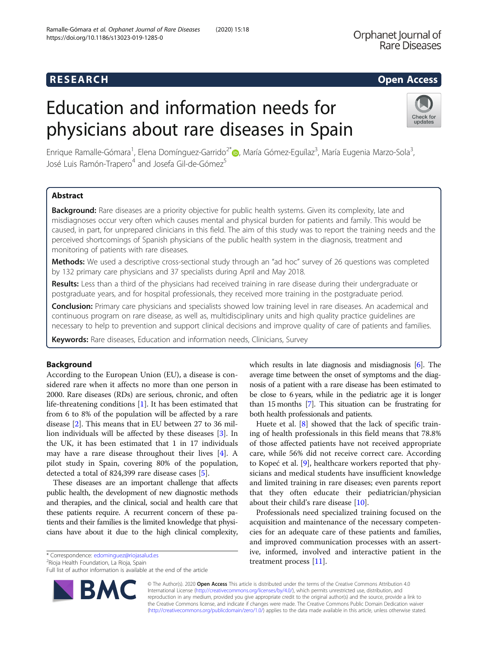## **RESEARCH CHILD CONTROL** CONTROL CONTROL CONTROL CONTROL CONTROL CONTROL CONTROL CONTROL CONTROL CONTROL CONTROL CONTROL CONTROL CONTROL CONTROL CONTROL CONTROL CONTROL CONTROL CONTROL CONTROL CONTROL CONTROL CONTROL CONTR

# Education and information needs for physicians about rare diseases in Spain

Enrique Ramalle-Gómara<sup>1</sup>[,](http://orcid.org/0000-0002-2066-0511) Elena Domínguez-Garrido<sup>2\*</sup>. María Gómez-Eguílaz<sup>3</sup>, María Eugenia Marzo-Sola<sup>3</sup> , José Luis Ramón-Trapero<sup>4</sup> and Josefa Gil-de-Gómez<sup>5</sup>

## Abstract

Background: Rare diseases are a priority objective for public health systems. Given its complexity, late and misdiagnoses occur very often which causes mental and physical burden for patients and family. This would be caused, in part, for unprepared clinicians in this field. The aim of this study was to report the training needs and the perceived shortcomings of Spanish physicians of the public health system in the diagnosis, treatment and monitoring of patients with rare diseases.

Methods: We used a descriptive cross-sectional study through an "ad hoc" survey of 26 questions was completed by 132 primary care physicians and 37 specialists during April and May 2018.

Results: Less than a third of the physicians had received training in rare disease during their undergraduate or postgraduate years, and for hospital professionals, they received more training in the postgraduate period.

Conclusion: Primary care physicians and specialists showed low training level in rare diseases. An academical and continuous program on rare disease, as well as, multidisciplinary units and high quality practice guidelines are necessary to help to prevention and support clinical decisions and improve quality of care of patients and families.

Keywords: Rare diseases, Education and information needs, Clinicians, Survey

## Background

According to the European Union (EU), a disease is considered rare when it affects no more than one person in 2000. Rare diseases (RDs) are serious, chronic, and often life-threatening conditions [\[1\]](#page-5-0). It has been estimated that from 6 to 8% of the population will be affected by a rare disease [\[2](#page-5-0)]. This means that in EU between 27 to 36 million individuals will be affected by these diseases [[3\]](#page-6-0). In the UK, it has been estimated that 1 in 17 individuals may have a rare disease throughout their lives [\[4](#page-6-0)]. A pilot study in Spain, covering 80% of the population, detected a total of 824,399 rare disease cases [[5](#page-6-0)].

These diseases are an important challenge that affects public health, the development of new diagnostic methods and therapies, and the clinical, social and health care that these patients require. A recurrent concern of these patients and their families is the limited knowledge that physicians have about it due to the high clinical complexity,

\* Correspondence: [edominguez@riojasalud.es](mailto:edominguez@riojasalud.es) <sup>2</sup>

<sup>2</sup>Rioja Health Foundation, La Rioja, Spain

which results in late diagnosis and misdiagnosis [[6](#page-6-0)]. The average time between the onset of symptoms and the diagnosis of a patient with a rare disease has been estimated to be close to 6 years, while in the pediatric age it is longer than 15 months [[7](#page-6-0)]. This situation can be frustrating for both health professionals and patients.

Huete et al. [\[8](#page-6-0)] showed that the lack of specific training of health professionals in this field means that 78.8% of those affected patients have not received appropriate care, while 56% did not receive correct care. According to Kopeć et al. [\[9\]](#page-6-0), healthcare workers reported that physicians and medical students have insufficient knowledge and limited training in rare diseases; even parents report that they often educate their pediatrician/physician about their child's rare disease [\[10](#page-6-0)].

Professionals need specialized training focused on the acquisition and maintenance of the necessary competencies for an adequate care of these patients and families, and improved communication processes with an assertive, informed, involved and interactive patient in the treatment process [\[11\]](#page-6-0).

© The Author(s). 2020 **Open Access** This article is distributed under the terms of the Creative Commons Attribution 4.0 International License [\(http://creativecommons.org/licenses/by/4.0/](http://creativecommons.org/licenses/by/4.0/)), which permits unrestricted use, distribution, and reproduction in any medium, provided you give appropriate credit to the original author(s) and the source, provide a link to the Creative Commons license, and indicate if changes were made. The Creative Commons Public Domain Dedication waiver [\(http://creativecommons.org/publicdomain/zero/1.0/](http://creativecommons.org/publicdomain/zero/1.0/)) applies to the data made available in this article, unless otherwise stated.





Check for updates

Full list of author information is available at the end of the article

Ramalle-Gómara et al. Orphanet Journal of Rare Diseases (2020) 15:18 https://doi.org/10.1186/s13023-019-1285-0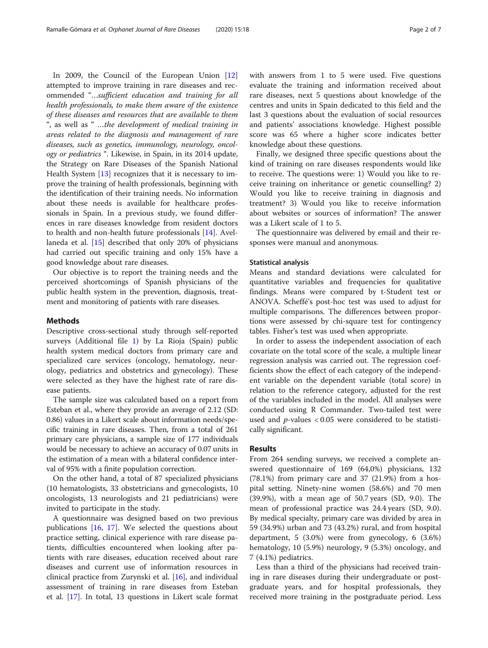In 2009, the Council of the European Union [[12](#page-6-0)] attempted to improve training in rare diseases and recommended "…sufficient education and training for all health professionals, to make them aware of the existence of these diseases and resources that are available to them ", as well as " …the development of medical training in areas related to the diagnosis and management of rare diseases, such as genetics, immunology, neurology, oncology or pediatrics ". Likewise, in Spain, in its 2014 update, the Strategy on Rare Diseases of the Spanish National Health System [[13\]](#page-6-0) recognizes that it is necessary to improve the training of health professionals, beginning with the identification of their training needs. No information about these needs is available for healthcare professionals in Spain. In a previous study, we found differences in rare diseases knowledge from resident doctors to health and non-health future professionals [\[14\]](#page-6-0). Avellaneda et al. [[15\]](#page-6-0) described that only 20% of physicians had carried out specific training and only 15% have a good knowledge about rare diseases.

Our objective is to report the training needs and the perceived shortcomings of Spanish physicians of the public health system in the prevention, diagnosis, treatment and monitoring of patients with rare diseases.

## Methods

Descriptive cross-sectional study through self-reported surveys (Additional file [1](#page-5-0)) by La Rioja (Spain) public health system medical doctors from primary care and specialized care services (oncology, hematology, neurology, pediatrics and obstetrics and gynecology). These were selected as they have the highest rate of rare disease patients.

The sample size was calculated based on a report from Esteban et al., where they provide an average of 2.12 (SD: 0.86) values in a Likert scale about information needs/specific training in rare diseases. Then, from a total of 261 primary care physicians, a sample size of 177 individuals would be necessary to achieve an accuracy of 0.07 units in the estimation of a mean with a bilateral confidence interval of 95% with a finite population correction.

On the other hand, a total of 87 specialized physicians (10 hematologists, 33 obstetricians and gynecologists, 10 oncologists, 13 neurologists and 21 pediatricians) were invited to participate in the study.

A questionnaire was designed based on two previous publications [\[16,](#page-6-0) [17\]](#page-6-0). We selected the questions about practice setting, clinical experience with rare disease patients, difficulties encountered when looking after patients with rare diseases, education received about rare diseases and current use of information resources in clinical practice from Zurynski et al. [\[16](#page-6-0)], and individual assessment of training in rare diseases from Esteban et al. [[17\]](#page-6-0). In total, 13 questions in Likert scale format with answers from 1 to 5 were used. Five questions evaluate the training and information received about rare diseases, next 5 questions about knowledge of the centres and units in Spain dedicated to this field and the last 3 questions about the evaluation of social resources and patients' associations knowledge. Highest possible score was 65 where a higher score indicates better knowledge about these questions.

Finally, we designed three specific questions about the kind of training on rare diseases respondents would like to receive. The questions were: 1) Would you like to receive training on inheritance or genetic counselling? 2) Would you like to receive training in diagnosis and treatment? 3) Would you like to receive information about websites or sources of information? The answer was a Likert scale of 1 to 5.

The questionnaire was delivered by email and their responses were manual and anonymous.

## Statistical analysis

Means and standard deviations were calculated for quantitative variables and frequencies for qualitative findings. Means were compared by t-Student test or ANOVA. Scheffé's post-hoc test was used to adjust for multiple comparisons. The differences between proportions were assessed by chi-square test for contingency tables. Fisher's test was used when appropriate.

In order to assess the independent association of each covariate on the total score of the scale, a multiple linear regression analysis was carried out. The regression coefficients show the effect of each category of the independent variable on the dependent variable (total score) in relation to the reference category, adjusted for the rest of the variables included in the model. All analyses were conducted using R Commander. Two-tailed test were used and  $p$ -values < 0.05 were considered to be statistically significant.

#### Results

From 264 sending surveys, we received a complete answered questionnaire of 169 (64,0%) physicians, 132  $(78.1%)$  from primary care and 37  $(21.9%)$  from a hospital setting. Ninety-nine women (58.6%) and 70 men (39.9%), with a mean age of 50.7 years (SD, 9.0). The mean of professional practice was 24.4 years (SD, 9.0). By medical specialty, primary care was divided by area in 59 (34.9%) urban and 73 (43.2%) rural, and from hospital department, 5 (3.0%) were from gynecology, 6 (3.6%) hematology, 10 (5.9%) neurology, 9 (5.3%) oncology, and 7 (4.1%) pediatrics.

Less than a third of the physicians had received training in rare diseases during their undergraduate or postgraduate years, and for hospital professionals, they received more training in the postgraduate period. Less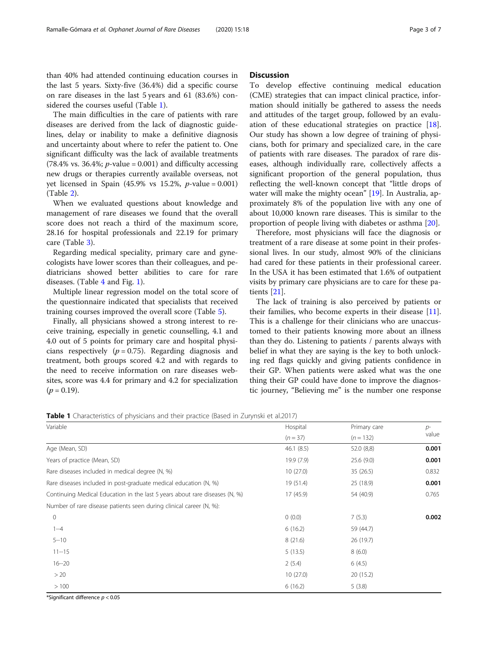than 40% had attended continuing education courses in the last 5 years. Sixty-five (36.4%) did a specific course on rare diseases in the last 5 years and 61 (83.6%) considered the courses useful (Table 1).

The main difficulties in the care of patients with rare diseases are derived from the lack of diagnostic guidelines, delay or inability to make a definitive diagnosis and uncertainty about where to refer the patient to. One significant difficulty was the lack of available treatments (78.4% vs. 36.4%;  $p$ -value = 0.001) and difficulty accessing new drugs or therapies currently available overseas, not yet licensed in Spain (45.9% vs 15.2%,  $p$ -value = 0.001) (Table [2\)](#page-3-0).

When we evaluated questions about knowledge and management of rare diseases we found that the overall score does not reach a third of the maximum score, 28.16 for hospital professionals and 22.19 for primary care (Table [3\)](#page-3-0).

Regarding medical speciality, primary care and gynecologists have lower scores than their colleagues, and pediatricians showed better abilities to care for rare diseases. (Table [4](#page-4-0) and Fig. [1](#page-4-0)).

Multiple linear regression model on the total score of the questionnaire indicated that specialists that received training courses improved the overall score (Table [5](#page-5-0)).

Finally, all physicians showed a strong interest to receive training, especially in genetic counselling, 4.1 and 4.0 out of 5 points for primary care and hospital physicians respectively ( $p = 0.75$ ). Regarding diagnosis and treatment, both groups scored 4.2 and with regards to the need to receive information on rare diseases websites, score was 4.4 for primary and 4.2 for specialization  $(p = 0.19)$ .

## **Discussion**

To develop effective continuing medical education (CME) strategies that can impact clinical practice, information should initially be gathered to assess the needs and attitudes of the target group, followed by an evaluation of these educational strategies on practice [\[18](#page-6-0)]. Our study has shown a low degree of training of physicians, both for primary and specialized care, in the care of patients with rare diseases. The paradox of rare diseases, although individually rare, collectively affects a significant proportion of the general population, thus reflecting the well-known concept that "little drops of water will make the mighty ocean" [\[19](#page-6-0)]. In Australia, approximately 8% of the population live with any one of about 10,000 known rare diseases. This is similar to the proportion of people living with diabetes or asthma [[20\]](#page-6-0).

Therefore, most physicians will face the diagnosis or treatment of a rare disease at some point in their professional lives. In our study, almost 90% of the clinicians had cared for these patients in their professional career. In the USA it has been estimated that 1.6% of outpatient visits by primary care physicians are to care for these patients [\[21](#page-6-0)].

The lack of training is also perceived by patients or their families, who become experts in their disease [\[11](#page-6-0)]. This is a challenge for their clinicians who are unaccustomed to their patients knowing more about an illness than they do. Listening to patients / parents always with belief in what they are saying is the key to both unlocking red flags quickly and giving patients confidence in their GP. When patients were asked what was the one thing their GP could have done to improve the diagnostic journey, "Believing me" is the number one response

Table 1 Characteristics of physicians and their practice (Based in Zurynski et al.2017)

| Variable                                                                    | Hospital   | Primary care<br>$(n = 132)$ | $p-$<br>value |
|-----------------------------------------------------------------------------|------------|-----------------------------|---------------|
|                                                                             | $(n = 37)$ |                             |               |
| Age (Mean, SD)                                                              | 46.1(8.5)  | 52.0 (8,8)                  | 0.001         |
| Years of practice (Mean, SD)                                                | 19.9(7.9)  | 25.6(9.0)                   | 0.001         |
| Rare diseases included in medical degree (N, %)                             | 10(27.0)   | 35 (26.5)                   | 0.832         |
| Rare diseases included in post-graduate medical education (N, %)            | 19(51.4)   | 25 (18.9)                   | 0.001         |
| Continuing Medical Education in the last 5 years about rare diseases (N, %) | 17(45.9)   | 54 (40.9)                   | 0.765         |
| Number of rare disease patients seen during clinical career (N, %):         |            |                             |               |
| $\mathbf 0$                                                                 | 0(0.0)     | 7(5.3)                      | 0.002         |
| $1 - 4$                                                                     | 6(16.2)    | 59 (44.7)                   |               |
| $5 - 10$                                                                    | 8(21.6)    | 26 (19.7)                   |               |
| $11 - 15$                                                                   | 5(13.5)    | 8(6.0)                      |               |
| $16 - 20$                                                                   | 2(5.4)     | 6(4.5)                      |               |
| >20                                                                         | 10(27.0)   | 20 (15.2)                   |               |
| >100                                                                        | 6(16.2)    | 5(3.8)                      |               |

\*Significant difference  $p < 0.05$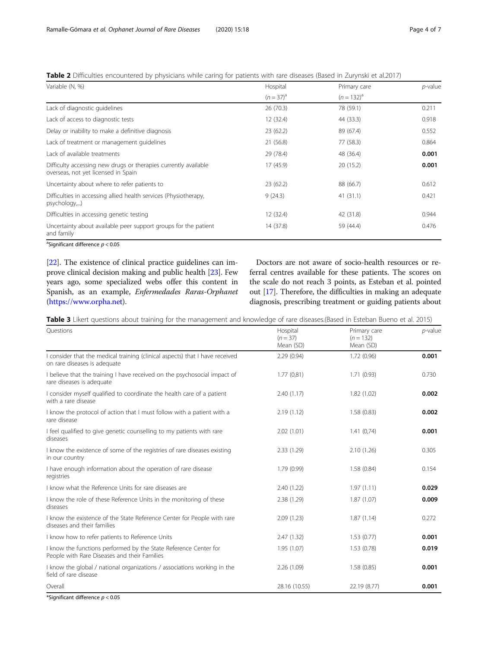<span id="page-3-0"></span>Table 2 Difficulties encountered by physicians while caring for patients with rare diseases (Based in Zurynski et al.2017)

| Variable (N, %)                                                                                        | Hospital     | Primary care  | p-value |
|--------------------------------------------------------------------------------------------------------|--------------|---------------|---------|
|                                                                                                        | $(n=37)^{a}$ | $(n = 132)^d$ |         |
| Lack of diagnostic guidelines                                                                          | 26(70.3)     | 78 (59.1)     | 0.211   |
| Lack of access to diagnostic tests                                                                     | 12 (32.4)    | 44 (33.3)     | 0.918   |
| Delay or inability to make a definitive diagnosis                                                      | 23(62.2)     | 89 (67.4)     | 0.552   |
| Lack of treatment or management quidelines                                                             | 21 (56.8)    | 77 (58.3)     | 0.864   |
| Lack of available treatments                                                                           | 29 (78.4)    | 48 (36.4)     | 0.001   |
| Difficulty accessing new drugs or therapies currently available<br>overseas, not yet licensed in Spain | 17 (45.9)    | 20(15.2)      | 0.001   |
| Uncertainty about where to refer patients to                                                           | 23 (62.2)    | 88 (66.7)     | 0.612   |
| Difficulties in accessing allied health services (Physiotherapy,<br>psychology)                        | 9(24.3)      | 41(31.1)      | 0.421   |
| Difficulties in accessing genetic testing                                                              | 12 (32.4)    | 42 (31.8)     | 0.944   |
| Uncertainty about available peer support groups for the patient<br>and family                          | 14 (37.8)    | 59 (44.4)     | 0.476   |

<sup>a</sup>Significant difference  $p < 0.05$ 

[[22](#page-6-0)]. The existence of clinical practice guidelines can improve clinical decision making and public health [[23](#page-6-0)]. Few years ago, some specialized webs offer this content in Spanish, as an example, Enfermedades Raras-Orphanet (<https://www.orpha.net>).

Doctors are not aware of socio-health resources or referral centres available for these patients. The scores on the scale do not reach 3 points, as Esteban et al. pointed out [\[17\]](#page-6-0). Therefore, the difficulties in making an adequate diagnosis, prescribing treatment or guiding patients about

Table 3 Likert questions about training for the management and knowledge of rare diseases.(Based in Esteban Bueno et al. 2015)

| Questions                                                                                                        | Hospital<br>$(n = 37)$<br>Mean (SD) | Primary care<br>$(n = 132)$<br>Mean (SD) | $p$ -value |
|------------------------------------------------------------------------------------------------------------------|-------------------------------------|------------------------------------------|------------|
| I consider that the medical training (clinical aspects) that I have received<br>on rare diseases is adequate     | 2.29(0.94)                          | 1.72(0.96)                               | 0.001      |
| I believe that the training I have received on the psychosocial impact of<br>rare diseases is adequate           | 1.77(0,81)                          | 1.71(0.93)                               | 0.730      |
| I consider myself qualified to coordinate the health care of a patient<br>with a rare disease                    | 2.40(1.17)                          | 1.82(1.02)                               | 0.002      |
| I know the protocol of action that I must follow with a patient with a<br>rare disease                           | 2.19(1.12)                          | 1.58(0.83)                               | 0.002      |
| I feel qualified to give genetic counselling to my patients with rare<br>diseases                                | 2.02(1.01)                          | 1.41(0,74)                               | 0.001      |
| I know the existence of some of the registries of rare diseases existing<br>in our country                       | 2.33(1.29)                          | 2.10(1.26)                               | 0.305      |
| I have enough information about the operation of rare disease<br>registries                                      | 1.79(0.99)                          | 1.58(0.84)                               | 0.154      |
| I know what the Reference Units for rare diseases are                                                            | 2.40(1.22)                          | 1.97(1.11)                               | 0.029      |
| I know the role of these Reference Units in the monitoring of these<br>diseases                                  | 2.38(1.29)                          | 1.87(1.07)                               | 0.009      |
| I know the existence of the State Reference Center for People with rare<br>diseases and their families           | 2.09(1.23)                          | 1.87(1.14)                               | 0.272      |
| I know how to refer patients to Reference Units                                                                  | 2.47(1.32)                          | 1.53(0.77)                               | 0.001      |
| I know the functions performed by the State Reference Center for<br>People with Rare Diseases and their Families | 1.95(1.07)                          | 1.53(0.78)                               | 0.019      |
| I know the global / national organizations / associations working in the<br>field of rare disease                | 2.26(1.09)                          | 1.58(0.85)                               | 0.001      |
| Overall                                                                                                          | 28.16 (10.55)                       | 22.19 (8.77)                             | 0.001      |

\*Significant difference  $p < 0.05$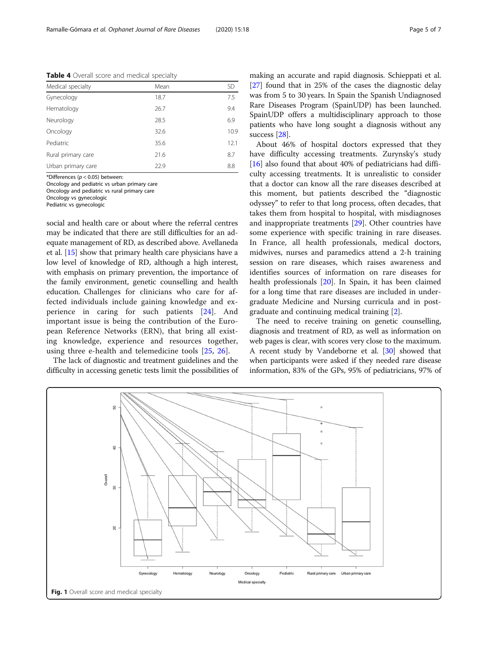<span id="page-4-0"></span>Table 4 Overall score and medical specialty

| Medical specialty  | Mean | <b>SD</b> |
|--------------------|------|-----------|
| Gynecology         | 18.7 | 7.5       |
| Hematology         | 26.7 | 9.4       |
| Neurology          | 28.5 | 6.9       |
| Oncology           | 32.6 | 10.9      |
| Pediatric          | 35.6 | 12.1      |
| Rural primary care | 21.6 | 8.7       |
| Urban primary care | 22.9 | 8.8       |

\*Differences ( $p$  < 0.05) between:

Oncology and pediatric vs urban primary care

Oncology and pediatric vs rural primary care

Oncology vs gynecologic

Pediatric vs gynecologic

social and health care or about where the referral centres may be indicated that there are still difficulties for an adequate management of RD, as described above. Avellaneda et al. [[15\]](#page-6-0) show that primary health care physicians have a low level of knowledge of RD, although a high interest, with emphasis on primary prevention, the importance of the family environment, genetic counselling and health education. Challenges for clinicians who care for affected individuals include gaining knowledge and experience in caring for such patients [[24](#page-6-0)]. And important issue is being the contribution of the European Reference Networks (ERN), that bring all existing knowledge, experience and resources together, using three e-health and telemedicine tools [\[25](#page-6-0), [26](#page-6-0)].

The lack of diagnostic and treatment guidelines and the difficulty in accessing genetic tests limit the possibilities of making an accurate and rapid diagnosis. Schieppati et al. [[27](#page-6-0)] found that in 25% of the cases the diagnostic delay was from 5 to 30 years. In Spain the Spanish Undiagnosed Rare Diseases Program (SpainUDP) has been launched. SpainUDP offers a multidisciplinary approach to those patients who have long sought a diagnosis without any success [[28](#page-6-0)].

About 46% of hospital doctors expressed that they have difficulty accessing treatments. Zurynsky's study [[16\]](#page-6-0) also found that about 40% of pediatricians had difficulty accessing treatments. It is unrealistic to consider that a doctor can know all the rare diseases described at this moment, but patients described the "diagnostic odyssey" to refer to that long process, often decades, that takes them from hospital to hospital, with misdiagnoses and inappropriate treatments [\[29](#page-6-0)]. Other countries have some experience with specific training in rare diseases. In France, all health professionals, medical doctors, midwives, nurses and paramedics attend a 2-h training session on rare diseases, which raises awareness and identifies sources of information on rare diseases for health professionals [\[20](#page-6-0)]. In Spain, it has been claimed for a long time that rare diseases are included in undergraduate Medicine and Nursing curricula and in postgraduate and continuing medical training [[2\]](#page-5-0).

The need to receive training on genetic counselling, diagnosis and treatment of RD, as well as information on web pages is clear, with scores very close to the maximum. A recent study by Vandeborne et al. [\[30\]](#page-6-0) showed that when participants were asked if they needed rare disease information, 83% of the GPs, 95% of pediatricians, 97% of

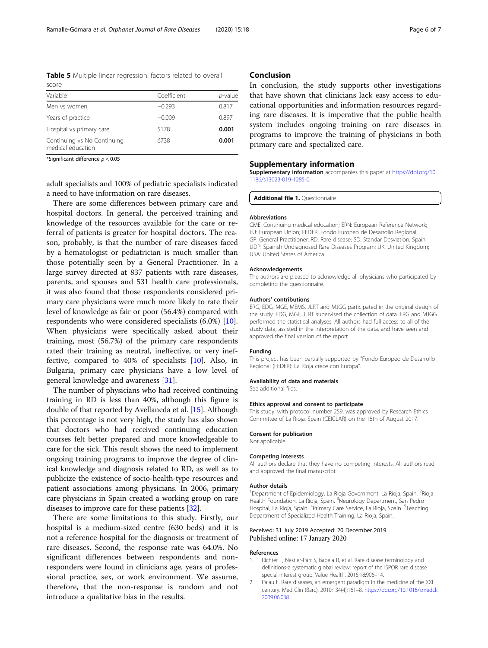<span id="page-5-0"></span>Table 5 Multiple linear regression: factors related to overall score

| Variable                                         | Coefficient | p-value |
|--------------------------------------------------|-------------|---------|
| Men vs women                                     | $-0.293$    | 0.817   |
| Years of practice                                | $-0.009$    | 0.897   |
| Hospital vs primary care                         | 5178        | 0.001   |
| Continuing vs No Continuing<br>medical education | 6738        | 0.001   |

\*Significant difference  $p < 0.05$ 

adult specialists and 100% of pediatric specialists indicated a need to have information on rare diseases.

There are some differences between primary care and hospital doctors. In general, the perceived training and knowledge of the resources available for the care or referral of patients is greater for hospital doctors. The reason, probably, is that the number of rare diseases faced by a hematologist or pediatrician is much smaller than those potentially seen by a General Practitioner. In a large survey directed at 837 patients with rare diseases, parents, and spouses and 531 health care professionals, it was also found that those respondents considered primary care physicians were much more likely to rate their level of knowledge as fair or poor (56.4%) compared with respondents who were considered specialists (6.0%) [\[10](#page-6-0)]. When physicians were specifically asked about their training, most (56.7%) of the primary care respondents rated their training as neutral, ineffective, or very ineffective, compared to 40% of specialists [[10\]](#page-6-0). Also, in Bulgaria, primary care physicians have a low level of general knowledge and awareness [[31\]](#page-6-0).

The number of physicians who had received continuing training in RD is less than 40%, although this figure is double of that reported by Avellaneda et al. [\[15\]](#page-6-0). Although this percentage is not very high, the study has also shown that doctors who had received continuing education courses felt better prepared and more knowledgeable to care for the sick. This result shows the need to implement ongoing training programs to improve the degree of clinical knowledge and diagnosis related to RD, as well as to publicize the existence of socio-health-type resources and patient associations among physicians. In 2006, primary care physicians in Spain created a working group on rare diseases to improve care for these patients [\[32\]](#page-6-0).

There are some limitations to this study. Firstly, our hospital is a medium-sized centre (630 beds) and it is not a reference hospital for the diagnosis or treatment of rare diseases. Second, the response rate was 64.0%. No significant differences between respondents and nonresponders were found in clinicians age, years of professional practice, sex, or work environment. We assume, therefore, that the non-response is random and not introduce a qualitative bias in the results.

## Conclusion

In conclusion, the study supports other investigations that have shown that clinicians lack easy access to educational opportunities and information resources regarding rare diseases. It is imperative that the public health system includes ongoing training on rare diseases in programs to improve the training of physicians in both primary care and specialized care.

## Supplementary information

Supplementary information accompanies this paper at [https://doi.org/10.](https://doi.org/10.1186/s13023-019-1285-0) [1186/s13023-019-1285-0.](https://doi.org/10.1186/s13023-019-1285-0)

Additional file 1. Questionnaire

#### **Abbreviations**

CME: Continuing medical education; ERN: European Reference Network; EU: European Union; FEDER: Fondo Europeo de Desarrollo Regional; GP: General Practitioner; RD: Rare disease; SD: Standar Desviation; Spain UDP: Spanish Undiagnosed Rare Diseases Program; UK: United Kingdom; USA: United States of America

#### Acknowledgements

The authors are pleased to acknowledge all physicians who participated by completing the questionnaire.

#### Authors' contributions

ERG, EDG, MGE, MEMS, JLRT and MJGG participated in the original design of the study. EDG, MGE, JLRT supervised the collection of data. ERG and MJGG performed the statistical analyses. All authors had full access to all of the study data, assisted in the interpretation of the data, and have seen and approved the final version of the report.

#### Funding

This project has been partially supported by "Fondo Europeo de Desarrollo Regional (FEDER): La Rioja crece con Europa".

#### Availability of data and materials

See additional files.

#### Ethics approval and consent to participate

This study, with protocol number 259, was approved by Research Ethics Committee of La Rioja, Spain (CEICLAR) on the 18th of August 2017.

## Consent for publication

Not applicable.

#### Competing interests

All authors declare that they have no competing interests. All authors read and approved the final manuscript.

#### Author details

<sup>1</sup>Department of Epidemiology, La Rioja Government, La Rioja, Spain. <sup>2</sup>Rioja Health Foundation, La Rioja, Spain. <sup>3</sup>Neurology Department, San Pedro Hospital, La Rioja, Spain. <sup>4</sup>Primary Care Service, La Rioja, Spain. <sup>5</sup>Teaching Department of Specialized Health Training, La Rioja, Spain.

#### Received: 31 July 2019 Accepted: 20 December 2019 Published online: 17 January 2020

## References

- 1. Richter T, Nestler-Parr S, Babela R, et al. Rare disease terminology and definitions-a systematic global review: report of the ISPOR rare disease special interest group. Value Health. 2015;18:906–14.
- 2. Palau F. Rare diseases, an emergent paradigm in the medicine of the XXI century. Med Clin (Barc). 2010;134(4):161–8. [https://doi.org/10.1016/j.medcli.](https://doi.org/10.1016/j.medcli.2009.06.038) [2009.06.038.](https://doi.org/10.1016/j.medcli.2009.06.038)